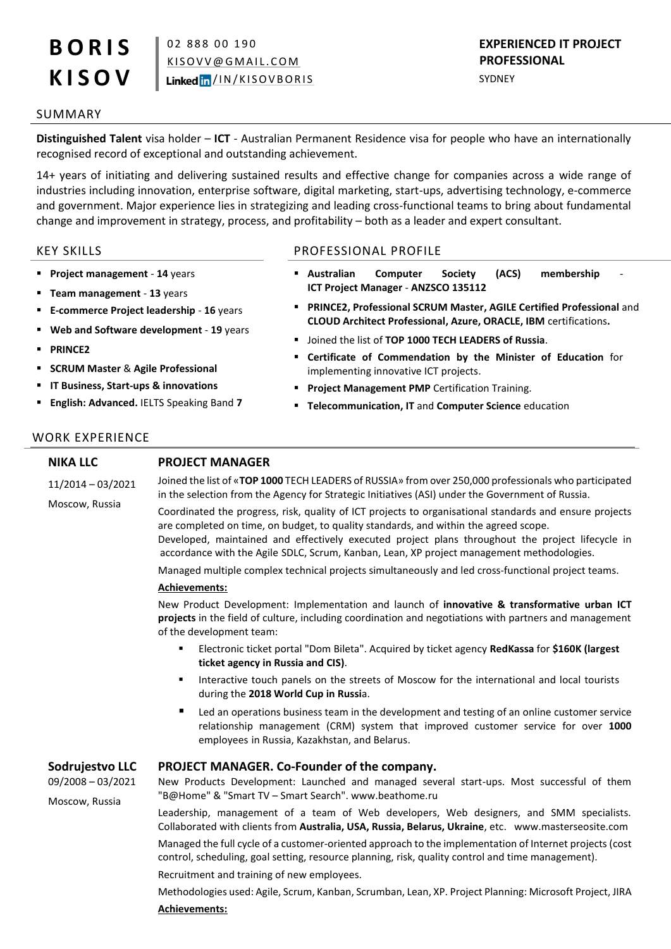# **B O R I S K I S O V**

02 888 00 190 K I SO V V @ G M A I L. CO M Linked in / IN/KISOVBORIS

# **EXPERIENCED IT PROJECT PROFESSIONAL**

SYDNEY

### SUMMARY

**Distinguished Talent** visa holder – **ICT** - Australian Permanent Residence visa for people who have an internationally recognised record of exceptional and outstanding achievement.

14+ years of initiating and delivering sustained results and effective change for companies across a wide range of industries including innovation, enterprise software, digital marketing, start-ups, advertising technology, e-commerce and government. Major experience lies in strategizing and leading cross-functional teams to bring about fundamental change and improvement in strategy, process, and profitability – both as a leader and expert consultant.

- **Project management 14** years
- **Team management 13** years
- **E-commerce Project leadership 16** years
- **Web and Software development 19** years
- **PRINCE2**
- **SCRUM Master** & **Agile Professional**
- **IT Business, Start-ups & innovations**
- **English: Advanced.** IELTS Speaking Band **7**

### KEY SKILLS PROFESSIONAL PROFILE

- **Australian Computer Society (ACS) membership ICT Project Manager** - **ANZSCO 135112**
- **PRINCE2, Professional SCRUM Master, AGILE Certified Professional** and **CLOUD Architect Professional, Azure, ORACLE, IBM** certifications**.**
- Joined the list of **TOP 1000 TECH LEADERS of Russia**.
- **Certificate of Commendation by the Minister of Education** for implementing innovative ICT projects.
- **Project Management PMP** Certification Training.
- **Telecommunication, IT** and **Computer Science** education

### WORK EXPERIENCE

**NIKA LLC**

## **PROJECT MANAGER**

11/2014 – 03/2021 Moscow, Russia Joined the list of «**TOP 1000** TECH LEADERS of RUSSIA» from over 250,000 professionals who participated in the selection from the Agency for Strategic Initiatives (ASI) under the Government of Russia.

Coordinated the progress, risk, quality of ICT projects to organisational standards and ensure projects are completed on time, on budget, to quality standards, and within the agreed scope.

Developed, maintained and effectively executed project plans throughout the project lifecycle in accordance with the Agile SDLC, Scrum, Kanban, Lean, XP project management methodologies.

Managed multiple complex technical projects simultaneously and led cross-functional project teams.

### **Achievements:**

New Product Development: Implementation and launch of **innovative & transformative urban ICT projects** in the field of culture, including coordination and negotiations with partners and management of the development team:

- Electronic ticket portal "Dom Bileta". Acquired by ticket agency **RedKassa** for **\$160K (largest ticket agency in Russia and CIS)**.
- **Interactive touch panels on the streets of Moscow for the international and local tourists** during the **2018 World Cup in Russi**a.
- Led an operations business team in the development and testing of an online customer service relationship management (CRM) system that improved customer service for over **1000** employees in Russia, Kazakhstan, and Belarus.

### **Sodrujestvo LLC PROJECT MANAGER. Co-Founder of the company.**

09/2008 – 03/2021 Moscow, Russia

New Products Development: Launched and managed several start-ups. Most successful of them "B@Home" & "Smart TV – Smart Search"[. www.beathome.ru](http://www.beathome.ru/)

Leadership, management of a team of Web developers, Web designers, and SMM specialists. Collaborated with clients from **Australia, USA, Russia, Belarus, Ukraine**, etc. [www.masterseosite.com](http://www.masterseosite.com/)

Managed the full cycle of a customer-oriented approach to the implementation of Internet projects (cost control, scheduling, goal setting, resource planning, risk, quality control and time management).

Recruitment and training of new employees.

Methodologies used: Agile, Scrum, Kanban, Scrumban, Lean, XP. Project Planning: Microsoft Project, JIRA **Achievements:**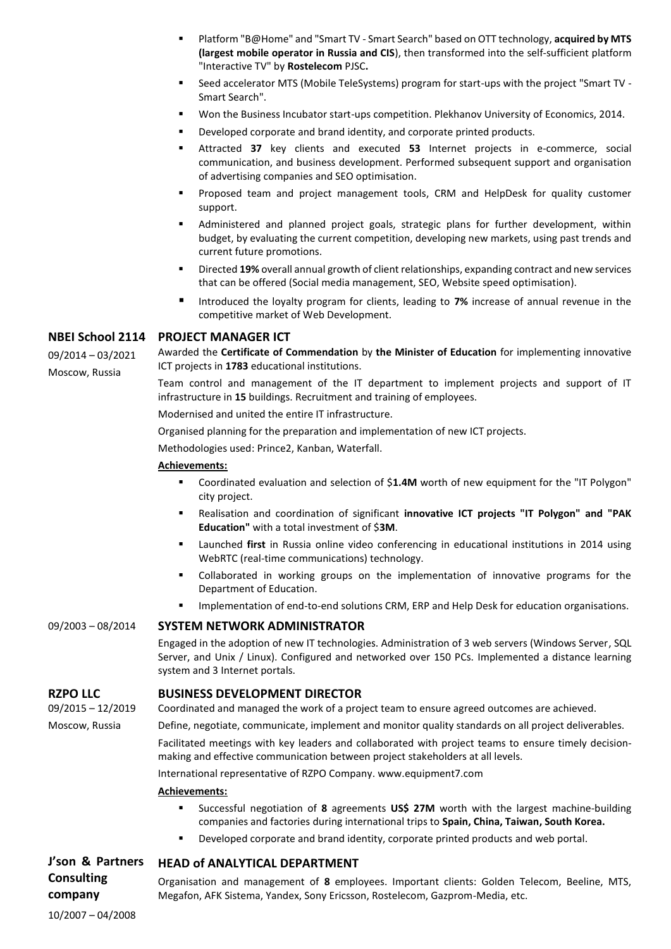- Platform "B@Home" and "Smart TV Smart Search" based on OTT technology, **acquired by MTS (largest mobile operator in Russia and CIS**), then transformed into the self-sufficient platform "Interactive TV" by **Rostelecom** PJSC**.**
- " Seed accelerator MTS (Mobile TeleSystems) program for start-ups with the project "Smart TV -Smart Search".
- Won the Business Incubator start-ups competition. Plekhanov University of Economics, 2014.
- Developed corporate and brand identity, and corporate printed products.
- Attracted **37** key clients and executed **53** Internet projects in e-commerce, social communication, and business development. Performed subsequent support and organisation of advertising companies and SEO optimisation.
- Proposed team and project management tools, CRM and HelpDesk for quality customer support.
- Administered and planned project goals, strategic plans for further development, within budget, by evaluating the current competition, developing new markets, using past trends and current future promotions.
- Directed **19%** overall annual growth of client relationships, expanding contract and new services that can be offered (Social media management, SEO, Website speed optimisation).
- Introduced the loyalty program for clients, leading to **7%** increase of annual revenue in the competitive market of Web Development.

### **NBEI School 2114 PROJECT MANAGER ICT**

09/2014 – 03/2021 Moscow, Russia

Awarded the **Certificate of Commendation** by **the Minister of Education** for implementing innovative ICT projects in **1783** educational institutions.

Team control and management of the IT department to implement projects and support of IT infrastructure in **15** buildings. Recruitment and training of employees.

Modernised and united the entire IT infrastructure.

Organised planning for the preparation and implementation of new ICT projects.

Methodologies used: Prince2, Kanban, Waterfall.

### **Achievements:**

- Coordinated evaluation and selection of \$**1.4M** worth of new equipment for the "IT Polygon" city project.
- Realisation and coordination of significant **innovative ICT projects "IT Polygon" and "PAK Education"** with a total investment of \$**3M**.
- Launched **first** in Russia online video conferencing in educational institutions in 2014 using WebRTC (real-time communications) technology.
- Collaborated in working groups on the implementation of innovative programs for the Department of Education.
- Implementation of end-to-end solutions CRM, ERP and Help Desk for education organisations.

### 09/2003 – 08/2014 **SYSTEM NETWORK ADMINISTRATOR**

Engaged in the adoption of new IT technologies. Administration of 3 web servers (Windows Server, SQL Server, and Unix / Linux). Configured and networked over 150 PCs. Implemented a distance learning system and 3 Internet portals.

### **RZPO LLC BUSINESS DEVELOPMENT DIRECTOR**

09/2015 – 12/2019 Moscow, Russia

Coordinated and managed the work of a project team to ensure agreed outcomes are achieved.

Define, negotiate, communicate, implement and monitor quality standards on all project deliverables.

Facilitated meetings with key leaders and collaborated with project teams to ensure timely decisionmaking and effective communication between project stakeholders at all levels.

International representative of RZPO Company. [www.equipment7.com](http://www.equipment7.com/)

### **Achievements:**

- Successful negotiation of **8** agreements **US\$ 27M** worth with the largest machine-building companies and factories during international trips to **Spain, China, Taiwan, South Korea.**
- Developed corporate and brand identity, corporate printed products and web portal.

### **J'son & Partners HEAD of ANALYTICAL DEPARTMENT**

Organisation and management of **8** employees. Important clients: Golden Telecom, Beeline, MTS, Megafon, AFK Sistema, Yandex, Sony Ericsson, Rostelecom, Gazprom-Media, etc.

10/2007 – 04/2008

**Consulting company**